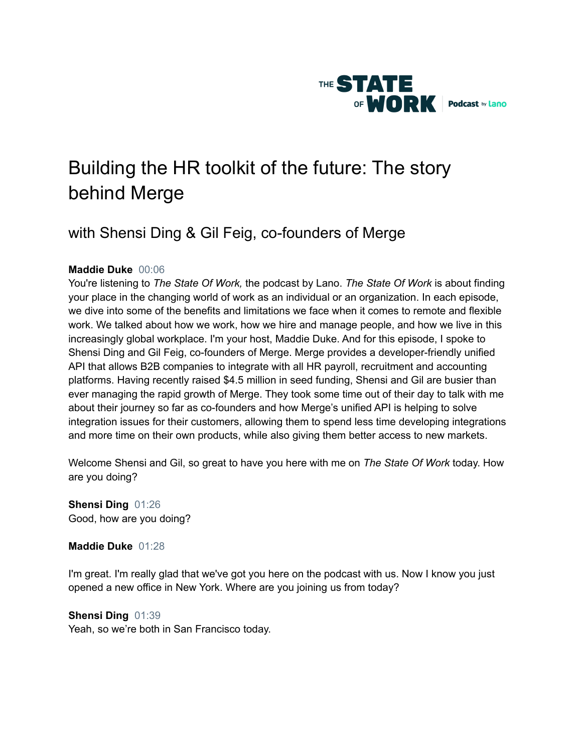

# Building the HR toolkit of the future: The story behind Merge

# with Shensi Ding & Gil Feig, co-founders of Merge

# **Maddie Duke** 00:06

You're listening to *The State Of Work,* the podcast by Lano. *The State Of Work* is about finding your place in the changing world of work as an individual or an organization. In each episode, we dive into some of the benefits and limitations we face when it comes to remote and flexible work. We talked about how we work, how we hire and manage people, and how we live in this increasingly global workplace. I'm your host, Maddie Duke. And for this episode, I spoke to Shensi Ding and Gil Feig, co-founders of Merge. Merge provides a developer-friendly unified API that allows B2B companies to integrate with all HR payroll, recruitment and accounting platforms. Having recently raised \$4.5 million in seed funding, Shensi and Gil are busier than ever managing the rapid growth of Merge. They took some time out of their day to talk with me about their journey so far as co-founders and how Merge's unified API is helping to solve integration issues for their customers, allowing them to spend less time developing integrations and more time on their own products, while also giving them better access to new markets.

Welcome Shensi and Gil, so great to have you here with me on *The State Of Work* today. How are you doing?

**Shensi Ding** 01:26 Good, how are you doing?

**Maddie Duke** 01:28

I'm great. I'm really glad that we've got you here on the podcast with us. Now I know you just opened a new office in New York. Where are you joining us from today?

# **Shensi Ding** 01:39

Yeah, so we're both in San Francisco today.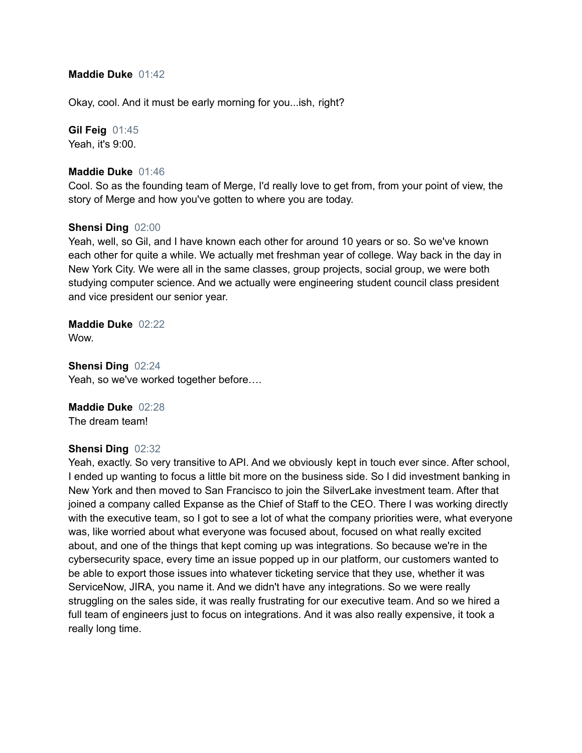### **Maddie Duke** 01:42

Okay, cool. And it must be early morning for you...ish, right?

# **Gil Feig** 01:45

Yeah, it's 9:00.

#### **Maddie Duke** 01:46

Cool. So as the founding team of Merge, I'd really love to get from, from your point of view, the story of Merge and how you've gotten to where you are today.

#### **Shensi Ding** 02:00

Yeah, well, so Gil, and I have known each other for around 10 years or so. So we've known each other for quite a while. We actually met freshman year of college. Way back in the day in New York City. We were all in the same classes, group projects, social group, we were both studying computer science. And we actually were engineering student council class president and vice president our senior year.

# **Maddie Duke** 02:22

**Wow.** 

**Shensi Ding** 02:24 Yeah, so we've worked together before….

# **Maddie Duke** 02:28

The dream team!

# **Shensi Ding** 02:32

Yeah, exactly. So very transitive to API. And we obviously kept in touch ever since. After school, I ended up wanting to focus a little bit more on the business side. So I did investment banking in New York and then moved to San Francisco to join the SilverLake investment team. After that joined a company called Expanse as the Chief of Staff to the CEO. There I was working directly with the executive team, so I got to see a lot of what the company priorities were, what everyone was, like worried about what everyone was focused about, focused on what really excited about, and one of the things that kept coming up was integrations. So because we're in the cybersecurity space, every time an issue popped up in our platform, our customers wanted to be able to export those issues into whatever ticketing service that they use, whether it was ServiceNow, JIRA, you name it. And we didn't have any integrations. So we were really struggling on the sales side, it was really frustrating for our executive team. And so we hired a full team of engineers just to focus on integrations. And it was also really expensive, it took a really long time.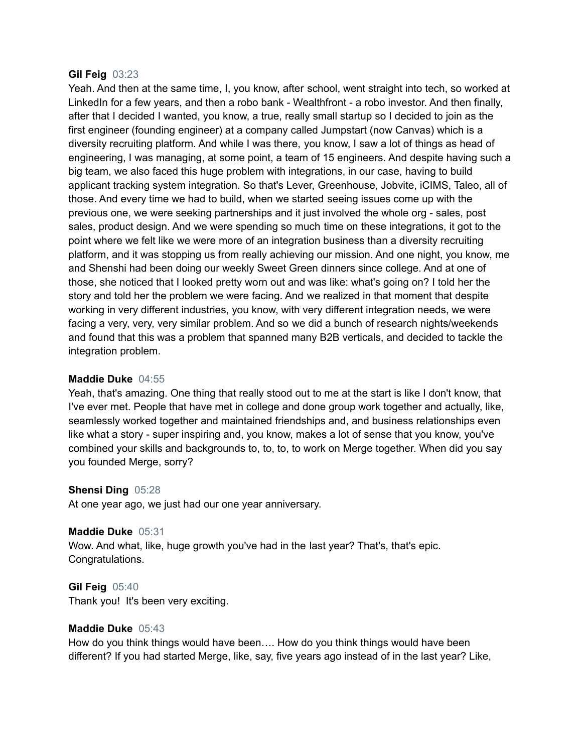#### **Gil Feig** 03:23

Yeah. And then at the same time, I, you know, after school, went straight into tech, so worked at LinkedIn for a few years, and then a robo bank - Wealthfront - a robo investor. And then finally, after that I decided I wanted, you know, a true, really small startup so I decided to join as the first engineer (founding engineer) at a company called Jumpstart (now Canvas) which is a diversity recruiting platform. And while I was there, you know, I saw a lot of things as head of engineering, I was managing, at some point, a team of 15 engineers. And despite having such a big team, we also faced this huge problem with integrations, in our case, having to build applicant tracking system integration. So that's Lever, Greenhouse, Jobvite, iCIMS, Taleo, all of those. And every time we had to build, when we started seeing issues come up with the previous one, we were seeking partnerships and it just involved the whole org - sales, post sales, product design. And we were spending so much time on these integrations, it got to the point where we felt like we were more of an integration business than a diversity recruiting platform, and it was stopping us from really achieving our mission. And one night, you know, me and Shenshi had been doing our weekly Sweet Green dinners since college. And at one of those, she noticed that I looked pretty worn out and was like: what's going on? I told her the story and told her the problem we were facing. And we realized in that moment that despite working in very different industries, you know, with very different integration needs, we were facing a very, very, very similar problem. And so we did a bunch of research nights/weekends and found that this was a problem that spanned many B2B verticals, and decided to tackle the integration problem.

#### **Maddie Duke** 04:55

Yeah, that's amazing. One thing that really stood out to me at the start is like I don't know, that I've ever met. People that have met in college and done group work together and actually, like, seamlessly worked together and maintained friendships and, and business relationships even like what a story - super inspiring and, you know, makes a lot of sense that you know, you've combined your skills and backgrounds to, to, to, to work on Merge together. When did you say you founded Merge, sorry?

#### **Shensi Ding** 05:28

At one year ago, we just had our one year anniversary.

#### **Maddie Duke** 05:31

Wow. And what, like, huge growth you've had in the last year? That's, that's epic. Congratulations.

# **Gil Feig** 05:40

Thank you! It's been very exciting.

# **Maddie Duke** 05:43

How do you think things would have been…. How do you think things would have been different? If you had started Merge, like, say, five years ago instead of in the last year? Like,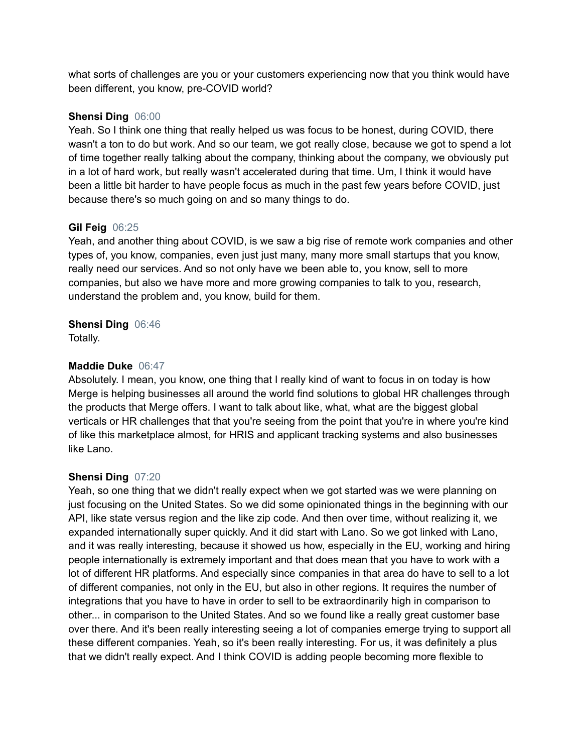what sorts of challenges are you or your customers experiencing now that you think would have been different, you know, pre-COVID world?

# **Shensi Ding** 06:00

Yeah. So I think one thing that really helped us was focus to be honest, during COVID, there wasn't a ton to do but work. And so our team, we got really close, because we got to spend a lot of time together really talking about the company, thinking about the company, we obviously put in a lot of hard work, but really wasn't accelerated during that time. Um, I think it would have been a little bit harder to have people focus as much in the past few years before COVID, just because there's so much going on and so many things to do.

# **Gil Feig** 06:25

Yeah, and another thing about COVID, is we saw a big rise of remote work companies and other types of, you know, companies, even just just many, many more small startups that you know, really need our services. And so not only have we been able to, you know, sell to more companies, but also we have more and more growing companies to talk to you, research, understand the problem and, you know, build for them.

# **Shensi Ding** 06:46

Totally.

# **Maddie Duke** 06:47

Absolutely. I mean, you know, one thing that I really kind of want to focus in on today is how Merge is helping businesses all around the world find solutions to global HR challenges through the products that Merge offers. I want to talk about like, what, what are the biggest global verticals or HR challenges that that you're seeing from the point that you're in where you're kind of like this marketplace almost, for HRIS and applicant tracking systems and also businesses like Lano.

# **Shensi Ding** 07:20

Yeah, so one thing that we didn't really expect when we got started was we were planning on just focusing on the United States. So we did some opinionated things in the beginning with our API, like state versus region and the like zip code. And then over time, without realizing it, we expanded internationally super quickly. And it did start with Lano. So we got linked with Lano, and it was really interesting, because it showed us how, especially in the EU, working and hiring people internationally is extremely important and that does mean that you have to work with a lot of different HR platforms. And especially since companies in that area do have to sell to a lot of different companies, not only in the EU, but also in other regions. It requires the number of integrations that you have to have in order to sell to be extraordinarily high in comparison to other... in comparison to the United States. And so we found like a really great customer base over there. And it's been really interesting seeing a lot of companies emerge trying to support all these different companies. Yeah, so it's been really interesting. For us, it was definitely a plus that we didn't really expect. And I think COVID is adding people becoming more flexible to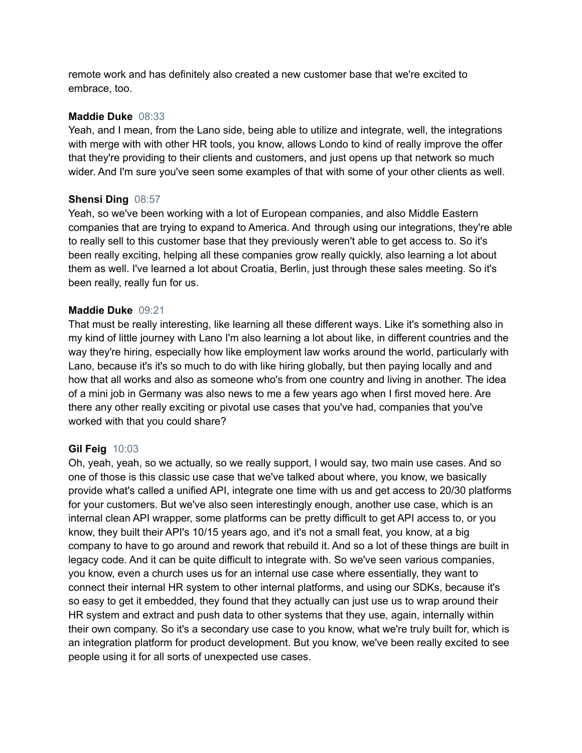remote work and has definitely also created a new customer base that we're excited to embrace, too.

### **Maddie Duke** 08:33

Yeah, and I mean, from the Lano side, being able to utilize and integrate, well, the integrations with merge with with other HR tools, you know, allows Londo to kind of really improve the offer that they're providing to their clients and customers, and just opens up that network so much wider. And I'm sure you've seen some examples of that with some of your other clients as well.

#### **Shensi Ding** 08:57

Yeah, so we've been working with a lot of European companies, and also Middle Eastern companies that are trying to expand to America. And through using our integrations, they're able to really sell to this customer base that they previously weren't able to get access to. So it's been really exciting, helping all these companies grow really quickly, also learning a lot about them as well. I've learned a lot about Croatia, Berlin, just through these sales meeting. So it's been really, really fun for us.

#### **Maddie Duke** 09:21

That must be really interesting, like learning all these different ways. Like it's something also in my kind of little journey with Lano I'm also learning a lot about like, in different countries and the way they're hiring, especially how like employment law works around the world, particularly with Lano, because it's it's so much to do with like hiring globally, but then paying locally and and how that all works and also as someone who's from one country and living in another. The idea of a mini job in Germany was also news to me a few years ago when I first moved here. Are there any other really exciting or pivotal use cases that you've had, companies that you've worked with that you could share?

# **Gil Feig** 10:03

Oh, yeah, yeah, so we actually, so we really support, I would say, two main use cases. And so one of those is this classic use case that we've talked about where, you know, we basically provide what's called a unified API, integrate one time with us and get access to 20/30 platforms for your customers. But we've also seen interestingly enough, another use case, which is an internal clean API wrapper, some platforms can be pretty difficult to get API access to, or you know, they built their API's 10/15 years ago, and it's not a small feat, you know, at a big company to have to go around and rework that rebuild it. And so a lot of these things are built in legacy code. And it can be quite difficult to integrate with. So we've seen various companies, you know, even a church uses us for an internal use case where essentially, they want to connect their internal HR system to other internal platforms, and using our SDKs, because it's so easy to get it embedded, they found that they actually can just use us to wrap around their HR system and extract and push data to other systems that they use, again, internally within their own company. So it's a secondary use case to you know, what we're truly built for, which is an integration platform for product development. But you know, we've been really excited to see people using it for all sorts of unexpected use cases.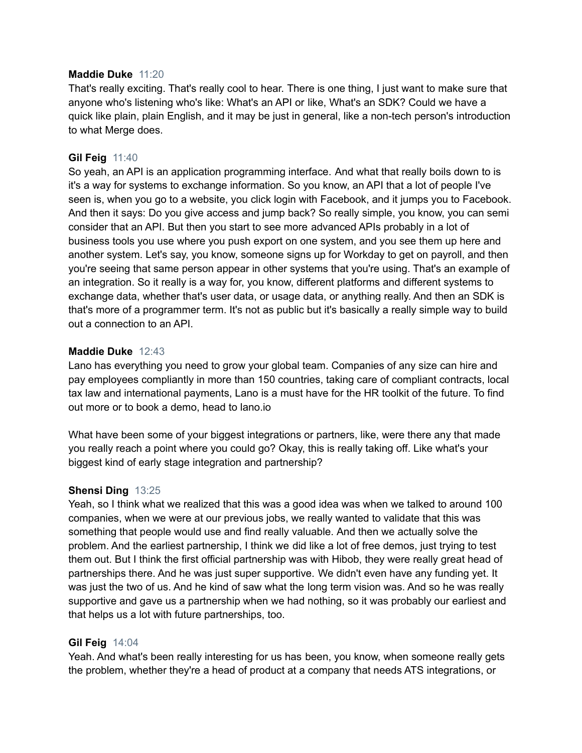#### **Maddie Duke** 11:20

That's really exciting. That's really cool to hear. There is one thing, I just want to make sure that anyone who's listening who's like: What's an API or like, What's an SDK? Could we have a quick like plain, plain English, and it may be just in general, like a non-tech person's introduction to what Merge does.

# **Gil Feig** 11:40

So yeah, an API is an application programming interface. And what that really boils down to is it's a way for systems to exchange information. So you know, an API that a lot of people I've seen is, when you go to a website, you click login with Facebook, and it jumps you to Facebook. And then it says: Do you give access and jump back? So really simple, you know, you can semi consider that an API. But then you start to see more advanced APIs probably in a lot of business tools you use where you push export on one system, and you see them up here and another system. Let's say, you know, someone signs up for Workday to get on payroll, and then you're seeing that same person appear in other systems that you're using. That's an example of an integration. So it really is a way for, you know, different platforms and different systems to exchange data, whether that's user data, or usage data, or anything really. And then an SDK is that's more of a programmer term. It's not as public but it's basically a really simple way to build out a connection to an API.

#### **Maddie Duke** 12:43

Lano has everything you need to grow your global team. Companies of any size can hire and pay employees compliantly in more than 150 countries, taking care of compliant contracts, local tax law and international payments, Lano is a must have for the HR toolkit of the future. To find out more or to book a demo, head to lano.io

What have been some of your biggest integrations or partners, like, were there any that made you really reach a point where you could go? Okay, this is really taking off. Like what's your biggest kind of early stage integration and partnership?

#### **Shensi Ding** 13:25

Yeah, so I think what we realized that this was a good idea was when we talked to around 100 companies, when we were at our previous jobs, we really wanted to validate that this was something that people would use and find really valuable. And then we actually solve the problem. And the earliest partnership, I think we did like a lot of free demos, just trying to test them out. But I think the first official partnership was with Hibob, they were really great head of partnerships there. And he was just super supportive. We didn't even have any funding yet. It was just the two of us. And he kind of saw what the long term vision was. And so he was really supportive and gave us a partnership when we had nothing, so it was probably our earliest and that helps us a lot with future partnerships, too.

#### **Gil Feig** 14:04

Yeah. And what's been really interesting for us has been, you know, when someone really gets the problem, whether they're a head of product at a company that needs ATS integrations, or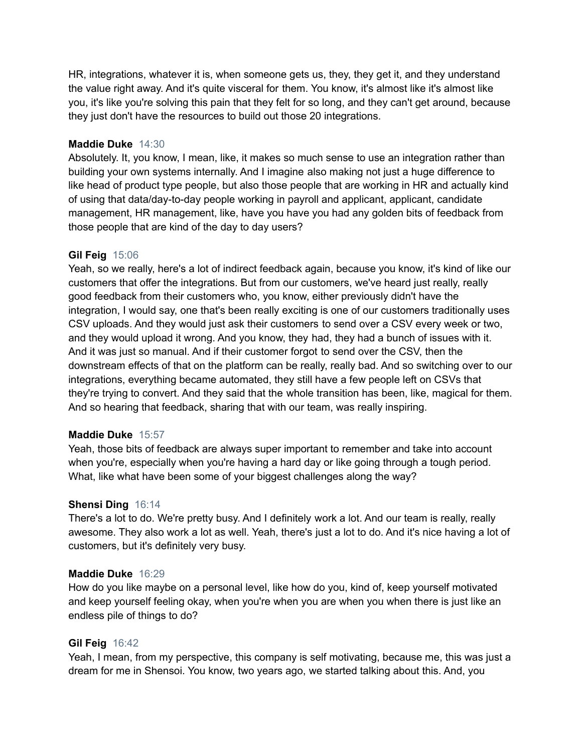HR, integrations, whatever it is, when someone gets us, they, they get it, and they understand the value right away. And it's quite visceral for them. You know, it's almost like it's almost like you, it's like you're solving this pain that they felt for so long, and they can't get around, because they just don't have the resources to build out those 20 integrations.

# **Maddie Duke** 14:30

Absolutely. It, you know, I mean, like, it makes so much sense to use an integration rather than building your own systems internally. And I imagine also making not just a huge difference to like head of product type people, but also those people that are working in HR and actually kind of using that data/day-to-day people working in payroll and applicant, applicant, candidate management, HR management, like, have you have you had any golden bits of feedback from those people that are kind of the day to day users?

#### **Gil Feig** 15:06

Yeah, so we really, here's a lot of indirect feedback again, because you know, it's kind of like our customers that offer the integrations. But from our customers, we've heard just really, really good feedback from their customers who, you know, either previously didn't have the integration, I would say, one that's been really exciting is one of our customers traditionally uses CSV uploads. And they would just ask their customers to send over a CSV every week or two, and they would upload it wrong. And you know, they had, they had a bunch of issues with it. And it was just so manual. And if their customer forgot to send over the CSV, then the downstream effects of that on the platform can be really, really bad. And so switching over to our integrations, everything became automated, they still have a few people left on CSVs that they're trying to convert. And they said that the whole transition has been, like, magical for them. And so hearing that feedback, sharing that with our team, was really inspiring.

#### **Maddie Duke** 15:57

Yeah, those bits of feedback are always super important to remember and take into account when you're, especially when you're having a hard day or like going through a tough period. What, like what have been some of your biggest challenges along the way?

# **Shensi Ding** 16:14

There's a lot to do. We're pretty busy. And I definitely work a lot. And our team is really, really awesome. They also work a lot as well. Yeah, there's just a lot to do. And it's nice having a lot of customers, but it's definitely very busy.

#### **Maddie Duke** 16:29

How do you like maybe on a personal level, like how do you, kind of, keep yourself motivated and keep yourself feeling okay, when you're when you are when you when there is just like an endless pile of things to do?

# **Gil Feig** 16:42

Yeah, I mean, from my perspective, this company is self motivating, because me, this was just a dream for me in Shensoi. You know, two years ago, we started talking about this. And, you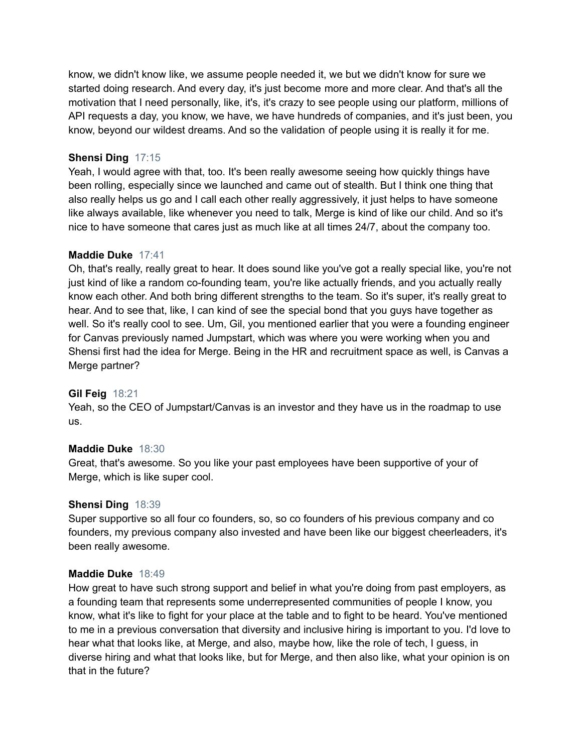know, we didn't know like, we assume people needed it, we but we didn't know for sure we started doing research. And every day, it's just become more and more clear. And that's all the motivation that I need personally, like, it's, it's crazy to see people using our platform, millions of API requests a day, you know, we have, we have hundreds of companies, and it's just been, you know, beyond our wildest dreams. And so the validation of people using it is really it for me.

# **Shensi Ding** 17:15

Yeah, I would agree with that, too. It's been really awesome seeing how quickly things have been rolling, especially since we launched and came out of stealth. But I think one thing that also really helps us go and I call each other really aggressively, it just helps to have someone like always available, like whenever you need to talk, Merge is kind of like our child. And so it's nice to have someone that cares just as much like at all times 24/7, about the company too.

#### **Maddie Duke** 17:41

Oh, that's really, really great to hear. It does sound like you've got a really special like, you're not just kind of like a random co-founding team, you're like actually friends, and you actually really know each other. And both bring different strengths to the team. So it's super, it's really great to hear. And to see that, like, I can kind of see the special bond that you guys have together as well. So it's really cool to see. Um, Gil, you mentioned earlier that you were a founding engineer for Canvas previously named Jumpstart, which was where you were working when you and Shensi first had the idea for Merge. Being in the HR and recruitment space as well, is Canvas a Merge partner?

# **Gil Feig** 18:21

Yeah, so the CEO of Jumpstart/Canvas is an investor and they have us in the roadmap to use us.

#### **Maddie Duke** 18:30

Great, that's awesome. So you like your past employees have been supportive of your of Merge, which is like super cool.

#### **Shensi Ding** 18:39

Super supportive so all four co founders, so, so co founders of his previous company and co founders, my previous company also invested and have been like our biggest cheerleaders, it's been really awesome.

#### **Maddie Duke** 18:49

How great to have such strong support and belief in what you're doing from past employers, as a founding team that represents some underrepresented communities of people I know, you know, what it's like to fight for your place at the table and to fight to be heard. You've mentioned to me in a previous conversation that diversity and inclusive hiring is important to you. I'd love to hear what that looks like, at Merge, and also, maybe how, like the role of tech, I guess, in diverse hiring and what that looks like, but for Merge, and then also like, what your opinion is on that in the future?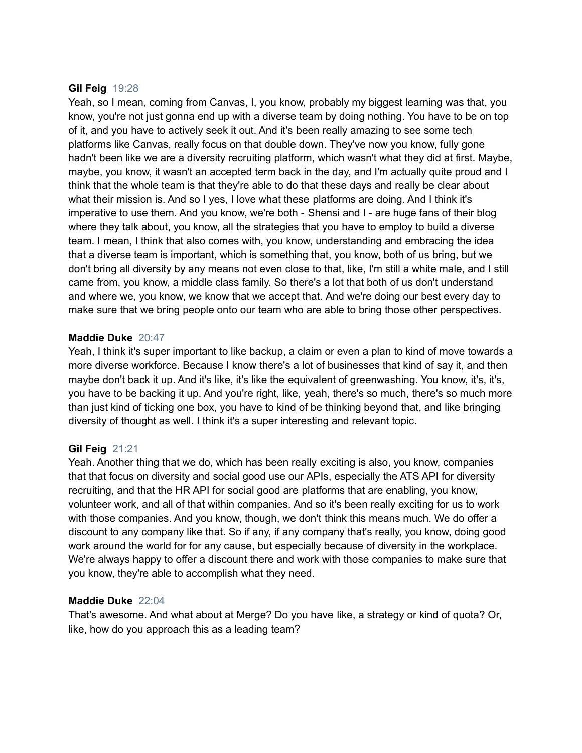### **Gil Feig** 19:28

Yeah, so I mean, coming from Canvas, I, you know, probably my biggest learning was that, you know, you're not just gonna end up with a diverse team by doing nothing. You have to be on top of it, and you have to actively seek it out. And it's been really amazing to see some tech platforms like Canvas, really focus on that double down. They've now you know, fully gone hadn't been like we are a diversity recruiting platform, which wasn't what they did at first. Maybe, maybe, you know, it wasn't an accepted term back in the day, and I'm actually quite proud and I think that the whole team is that they're able to do that these days and really be clear about what their mission is. And so I yes, I love what these platforms are doing. And I think it's imperative to use them. And you know, we're both - Shensi and I - are huge fans of their blog where they talk about, you know, all the strategies that you have to employ to build a diverse team. I mean, I think that also comes with, you know, understanding and embracing the idea that a diverse team is important, which is something that, you know, both of us bring, but we don't bring all diversity by any means not even close to that, like, I'm still a white male, and I still came from, you know, a middle class family. So there's a lot that both of us don't understand and where we, you know, we know that we accept that. And we're doing our best every day to make sure that we bring people onto our team who are able to bring those other perspectives.

#### **Maddie Duke** 20:47

Yeah, I think it's super important to like backup, a claim or even a plan to kind of move towards a more diverse workforce. Because I know there's a lot of businesses that kind of say it, and then maybe don't back it up. And it's like, it's like the equivalent of greenwashing. You know, it's, it's, you have to be backing it up. And you're right, like, yeah, there's so much, there's so much more than just kind of ticking one box, you have to kind of be thinking beyond that, and like bringing diversity of thought as well. I think it's a super interesting and relevant topic.

# **Gil Feig** 21:21

Yeah. Another thing that we do, which has been really exciting is also, you know, companies that that focus on diversity and social good use our APIs, especially the ATS API for diversity recruiting, and that the HR API for social good are platforms that are enabling, you know, volunteer work, and all of that within companies. And so it's been really exciting for us to work with those companies. And you know, though, we don't think this means much. We do offer a discount to any company like that. So if any, if any company that's really, you know, doing good work around the world for for any cause, but especially because of diversity in the workplace. We're always happy to offer a discount there and work with those companies to make sure that you know, they're able to accomplish what they need.

#### **Maddie Duke** 22:04

That's awesome. And what about at Merge? Do you have like, a strategy or kind of quota? Or, like, how do you approach this as a leading team?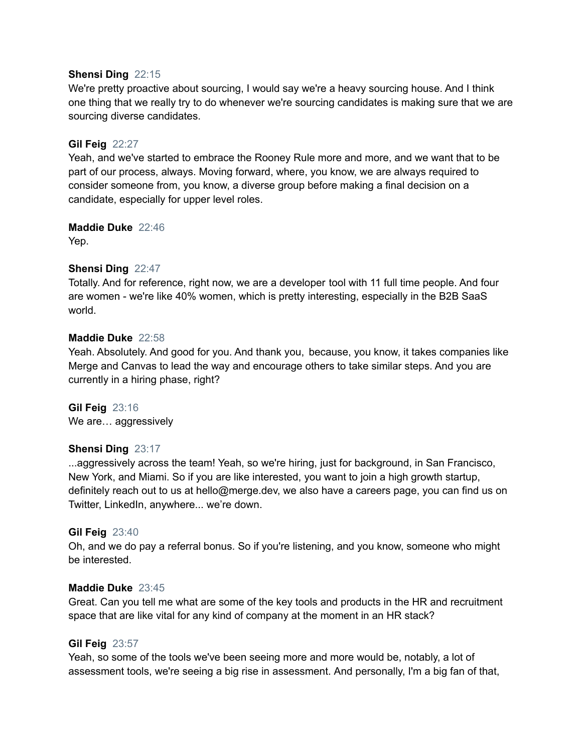#### **Shensi Ding** 22:15

We're pretty proactive about sourcing, I would say we're a heavy sourcing house. And I think one thing that we really try to do whenever we're sourcing candidates is making sure that we are sourcing diverse candidates.

### **Gil Feig** 22:27

Yeah, and we've started to embrace the Rooney Rule more and more, and we want that to be part of our process, always. Moving forward, where, you know, we are always required to consider someone from, you know, a diverse group before making a final decision on a candidate, especially for upper level roles.

#### **Maddie Duke** 22:46

Yep.

# **Shensi Ding** 22:47

Totally. And for reference, right now, we are a developer tool with 11 full time people. And four are women - we're like 40% women, which is pretty interesting, especially in the B2B SaaS world.

#### **Maddie Duke** 22:58

Yeah. Absolutely. And good for you. And thank you, because, you know, it takes companies like Merge and Canvas to lead the way and encourage others to take similar steps. And you are currently in a hiring phase, right?

**Gil Feig** 23:16 We are... aggressively

# **Shensi Ding** 23:17

...aggressively across the team! Yeah, so we're hiring, just for background, in San Francisco, New York, and Miami. So if you are like interested, you want to join a high growth startup, definitely reach out to us at hello@merge.dev, we also have a careers page, you can find us on Twitter, LinkedIn, anywhere... we're down.

#### **Gil Feig** 23:40

Oh, and we do pay a referral bonus. So if you're listening, and you know, someone who might be interested.

#### **Maddie Duke** 23:45

Great. Can you tell me what are some of the key tools and products in the HR and recruitment space that are like vital for any kind of company at the moment in an HR stack?

### **Gil Feig** 23:57

Yeah, so some of the tools we've been seeing more and more would be, notably, a lot of assessment tools, we're seeing a big rise in assessment. And personally, I'm a big fan of that,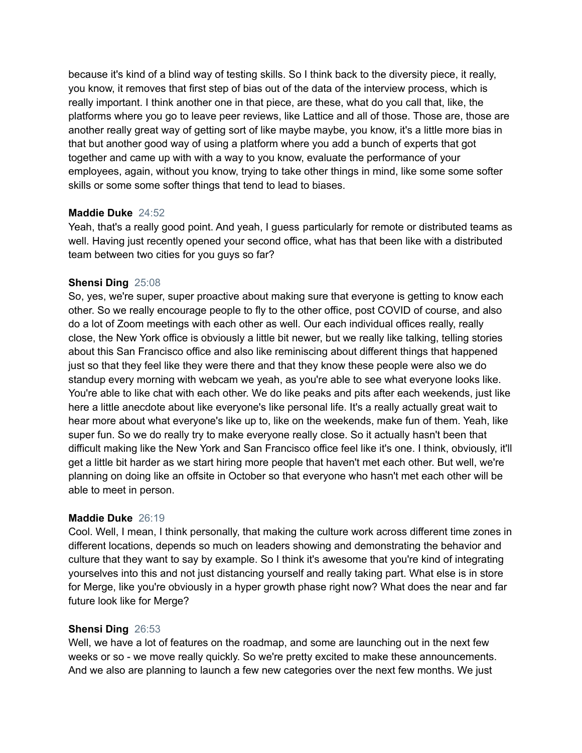because it's kind of a blind way of testing skills. So I think back to the diversity piece, it really, you know, it removes that first step of bias out of the data of the interview process, which is really important. I think another one in that piece, are these, what do you call that, like, the platforms where you go to leave peer reviews, like Lattice and all of those. Those are, those are another really great way of getting sort of like maybe maybe, you know, it's a little more bias in that but another good way of using a platform where you add a bunch of experts that got together and came up with with a way to you know, evaluate the performance of your employees, again, without you know, trying to take other things in mind, like some some softer skills or some some softer things that tend to lead to biases.

# **Maddie Duke** 24:52

Yeah, that's a really good point. And yeah, I guess particularly for remote or distributed teams as well. Having just recently opened your second office, what has that been like with a distributed team between two cities for you guys so far?

# **Shensi Ding** 25:08

So, yes, we're super, super proactive about making sure that everyone is getting to know each other. So we really encourage people to fly to the other office, post COVID of course, and also do a lot of Zoom meetings with each other as well. Our each individual offices really, really close, the New York office is obviously a little bit newer, but we really like talking, telling stories about this San Francisco office and also like reminiscing about different things that happened just so that they feel like they were there and that they know these people were also we do standup every morning with webcam we yeah, as you're able to see what everyone looks like. You're able to like chat with each other. We do like peaks and pits after each weekends, just like here a little anecdote about like everyone's like personal life. It's a really actually great wait to hear more about what everyone's like up to, like on the weekends, make fun of them. Yeah, like super fun. So we do really try to make everyone really close. So it actually hasn't been that difficult making like the New York and San Francisco office feel like it's one. I think, obviously, it'll get a little bit harder as we start hiring more people that haven't met each other. But well, we're planning on doing like an offsite in October so that everyone who hasn't met each other will be able to meet in person.

#### **Maddie Duke** 26:19

Cool. Well, I mean, I think personally, that making the culture work across different time zones in different locations, depends so much on leaders showing and demonstrating the behavior and culture that they want to say by example. So I think it's awesome that you're kind of integrating yourselves into this and not just distancing yourself and really taking part. What else is in store for Merge, like you're obviously in a hyper growth phase right now? What does the near and far future look like for Merge?

#### **Shensi Ding** 26:53

Well, we have a lot of features on the roadmap, and some are launching out in the next few weeks or so - we move really quickly. So we're pretty excited to make these announcements. And we also are planning to launch a few new categories over the next few months. We just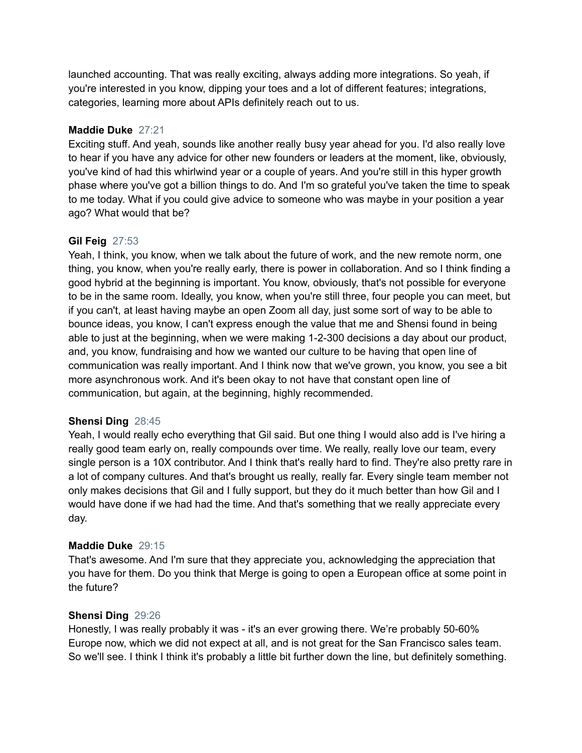launched accounting. That was really exciting, always adding more integrations. So yeah, if you're interested in you know, dipping your toes and a lot of different features; integrations, categories, learning more about APIs definitely reach out to us.

# **Maddie Duke** 27:21

Exciting stuff. And yeah, sounds like another really busy year ahead for you. I'd also really love to hear if you have any advice for other new founders or leaders at the moment, like, obviously, you've kind of had this whirlwind year or a couple of years. And you're still in this hyper growth phase where you've got a billion things to do. And I'm so grateful you've taken the time to speak to me today. What if you could give advice to someone who was maybe in your position a year ago? What would that be?

# **Gil Feig** 27:53

Yeah, I think, you know, when we talk about the future of work, and the new remote norm, one thing, you know, when you're really early, there is power in collaboration. And so I think finding a good hybrid at the beginning is important. You know, obviously, that's not possible for everyone to be in the same room. Ideally, you know, when you're still three, four people you can meet, but if you can't, at least having maybe an open Zoom all day, just some sort of way to be able to bounce ideas, you know, I can't express enough the value that me and Shensi found in being able to just at the beginning, when we were making 1-2-300 decisions a day about our product, and, you know, fundraising and how we wanted our culture to be having that open line of communication was really important. And I think now that we've grown, you know, you see a bit more asynchronous work. And it's been okay to not have that constant open line of communication, but again, at the beginning, highly recommended.

# **Shensi Ding** 28:45

Yeah, I would really echo everything that Gil said. But one thing I would also add is I've hiring a really good team early on, really compounds over time. We really, really love our team, every single person is a 10X contributor. And I think that's really hard to find. They're also pretty rare in a lot of company cultures. And that's brought us really, really far. Every single team member not only makes decisions that Gil and I fully support, but they do it much better than how Gil and I would have done if we had had the time. And that's something that we really appreciate every day.

# **Maddie Duke** 29:15

That's awesome. And I'm sure that they appreciate you, acknowledging the appreciation that you have for them. Do you think that Merge is going to open a European office at some point in the future?

# **Shensi Ding** 29:26

Honestly, I was really probably it was - it's an ever growing there. We're probably 50-60% Europe now, which we did not expect at all, and is not great for the San Francisco sales team. So we'll see. I think I think it's probably a little bit further down the line, but definitely something.